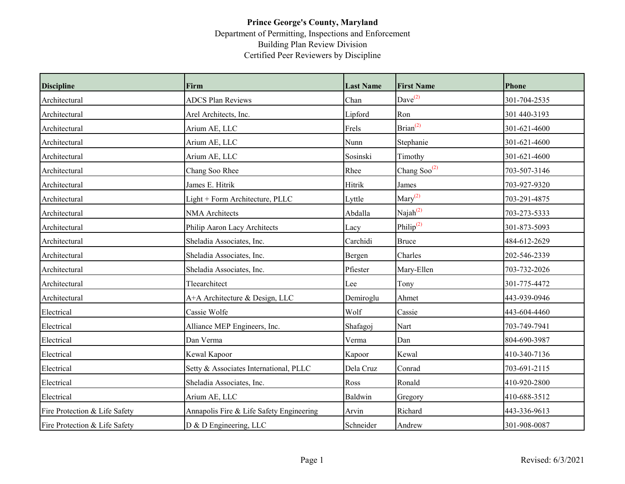## **Prince George's County, Maryland** Department of Permitting, Inspections and Enforcement Building Plan Review Division Certified Peer Reviewers by Discipline

| <b>Discipline</b>             | Firm                                     | <b>Last Name</b> | <b>First Name</b>        | <b>Phone</b> |
|-------------------------------|------------------------------------------|------------------|--------------------------|--------------|
| Architectural                 | <b>ADCS Plan Reviews</b>                 | Chan             | $Dave^{(2)}$             | 301-704-2535 |
| Architectural                 | Arel Architects, Inc.                    | Lipford          | Ron                      | 301 440-3193 |
| Architectural                 | Arium AE, LLC                            | Frels            | Brian <sup>(2)</sup>     | 301-621-4600 |
| Architectural                 | Arium AE, LLC                            | Nunn             | Stephanie                | 301-621-4600 |
| Architectural                 | Arium AE, LLC                            | Sosinski         | Timothy                  | 301-621-4600 |
| Architectural                 | Chang Soo Rhee                           | Rhee             | Chang Soo <sup>(2)</sup> | 703-507-3146 |
| Architectural                 | James E. Hitrik                          | Hitrik           | James                    | 703-927-9320 |
| Architectural                 | Light + Form Architecture, PLLC          | Lyttle           | $\text{Mary}^{(2)}$      | 703-291-4875 |
| Architectural                 | <b>NMA</b> Architects                    | Abdalla          | Naja $h^{(2)}$           | 703-273-5333 |
| Architectural                 | Philip Aaron Lacy Architects             | Lacy             | Philip <sup>(2)</sup>    | 301-873-5093 |
| Architectural                 | Sheladia Associates, Inc.                | Carchidi         | <b>Bruce</b>             | 484-612-2629 |
| Architectural                 | Sheladia Associates, Inc.                | Bergen           | Charles                  | 202-546-2339 |
| Architectural                 | Sheladia Associates, Inc.                | Pfiester         | Mary-Ellen               | 703-732-2026 |
| Architectural                 | Tleearchitect                            | Lee              | Tony                     | 301-775-4472 |
| Architectural                 | A+A Architecture & Design, LLC           | Demiroglu        | Ahmet                    | 443-939-0946 |
| Electrical                    | Cassie Wolfe                             | Wolf             | Cassie                   | 443-604-4460 |
| Electrical                    | Alliance MEP Engineers, Inc.             | Shafagoj         | Nart                     | 703-749-7941 |
| Electrical                    | Dan Verma                                | Verma            | Dan                      | 804-690-3987 |
| Electrical                    | Kewal Kapoor                             | Kapoor           | Kewal                    | 410-340-7136 |
| Electrical                    | Setty & Associates International, PLLC   | Dela Cruz        | Conrad                   | 703-691-2115 |
| Electrical                    | Sheladia Associates, Inc.                | Ross             | Ronald                   | 410-920-2800 |
| Electrical                    | Arium AE, LLC                            | Baldwin          | Gregory                  | 410-688-3512 |
| Fire Protection & Life Safety | Annapolis Fire & Life Safety Engineering | Arvin            | Richard                  | 443-336-9613 |
| Fire Protection & Life Safety | D & D Engineering, LLC                   | Schneider        | Andrew                   | 301-908-0087 |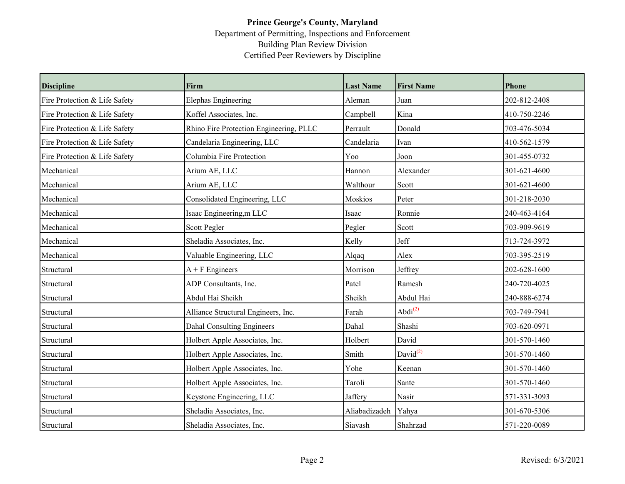## **Prince George's County, Maryland** Department of Permitting, Inspections and Enforcement Building Plan Review Division Certified Peer Reviewers by Discipline

| <b>Discipline</b>             | Firm                                    | <b>Last Name</b> | <b>First Name</b>    | Phone        |
|-------------------------------|-----------------------------------------|------------------|----------------------|--------------|
| Fire Protection & Life Safety | <b>Elephas Engineering</b>              | Aleman           | Juan                 | 202-812-2408 |
| Fire Protection & Life Safety | Koffel Associates, Inc.                 | Campbell         | Kina                 | 410-750-2246 |
| Fire Protection & Life Safety | Rhino Fire Protection Engineering, PLLC | Perrault         | Donald               | 703-476-5034 |
| Fire Protection & Life Safety | Candelaria Engineering, LLC             | Candelaria       | Ivan                 | 410-562-1579 |
| Fire Protection & Life Safety | Columbia Fire Protection                | Yoo              | Joon                 | 301-455-0732 |
| Mechanical                    | Arium AE, LLC                           | Hannon           | Alexander            | 301-621-4600 |
| Mechanical                    | Arium AE, LLC                           | Walthour         | Scott                | 301-621-4600 |
| Mechanical                    | Consolidated Engineering, LLC           | Moskios          | Peter                | 301-218-2030 |
| Mechanical                    | Isaac Engineering,m LLC                 | Isaac            | Ronnie               | 240-463-4164 |
| Mechanical                    | Scott Pegler                            | Pegler           | Scott                | 703-909-9619 |
| Mechanical                    | Sheladia Associates, Inc.               | Kelly            | Jeff                 | 713-724-3972 |
| Mechanical                    | Valuable Engineering, LLC               | Alqaq            | Alex                 | 703-395-2519 |
| Structural                    | $A + F$ Engineers                       | Morrison         | Jeffrey              | 202-628-1600 |
| Structural                    | ADP Consultants, Inc.                   | Patel            | Ramesh               | 240-720-4025 |
| Structural                    | Abdul Hai Sheikh                        | Sheikh           | Abdul Hai            | 240-888-6274 |
| Structural                    | Alliance Structural Engineers, Inc.     | Farah            | Abdi <sup>(2)</sup>  | 703-749-7941 |
| Structural                    | <b>Dahal Consulting Engineers</b>       | Dahal            | Shashi               | 703-620-0971 |
| Structural                    | Holbert Apple Associates, Inc.          | Holbert          | David                | 301-570-1460 |
| Structural                    | Holbert Apple Associates, Inc.          | Smith            | David <sup>(2)</sup> | 301-570-1460 |
| Structural                    | Holbert Apple Associates, Inc.          | Yohe             | Keenan               | 301-570-1460 |
| Structural                    | Holbert Apple Associates, Inc.          | Taroli           | Sante                | 301-570-1460 |
| Structural                    | Keystone Engineering, LLC               | Jaffery          | Nasir                | 571-331-3093 |
| Structural                    | Sheladia Associates, Inc.               | Aliabadizadeh    | Yahya                | 301-670-5306 |
| Structural                    | Sheladia Associates, Inc.               | Siavash          | Shahrzad             | 571-220-0089 |